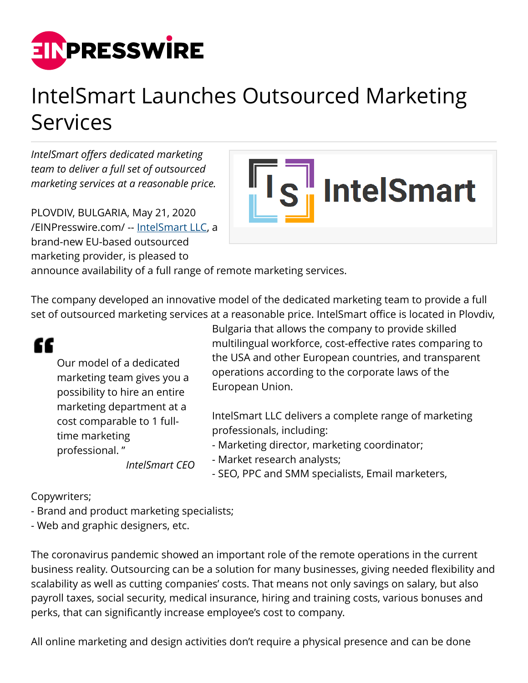

## IntelSmart Launches Outsourced Marketing Services

*IntelSmart offers dedicated marketing team to deliver a full set of outsourced marketing services at a reasonable price.*

PLOVDIV, BULGARIA, May 21, 2020 [/EINPresswire.com/](http://www.einpresswire.com) -- [IntelSmart LLC,](https://intelsmart.eu) a brand-new EU-based outsourced marketing provider, is pleased to



announce availability of a full range of remote marketing services.

The company developed an innovative model of the dedicated marketing team to provide a full set of outsourced marketing services at a reasonable price. IntelSmart office is located in Plovdiv,



- SEO, PPC and SMM specialists, Email marketers,

Copywriters;

- Brand and product marketing specialists;
- Web and graphic designers, etc.

The coronavirus pandemic showed an important role of the remote operations in the current business reality. Outsourcing can be a solution for many businesses, giving needed flexibility and scalability as well as cutting companies' costs. That means not only savings on salary, but also payroll taxes, social security, medical insurance, hiring and training costs, various bonuses and perks, that can significantly increase employee's cost to company.

All online marketing and design activities don't require a physical presence and can be done